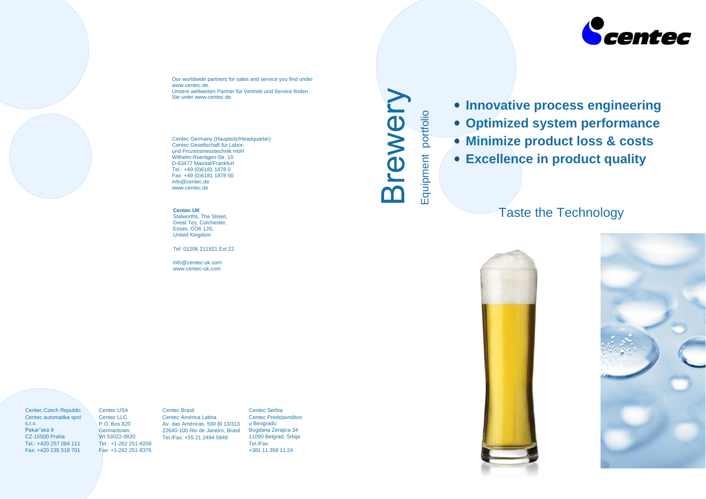$\sigma$  $rac{1}{\sqrt{2}}$  $\mathsf E$  $\bullet$ nt p o rtfolio

 $\Box$ 

- 
- 
- 

# Taste the Technology



Centec Czech Republic Centec automatika spol s.r.o. Pekarˇská 8 CZ-15500 Praha Tel.: +420 257 084 111 Fax: +420 235 518 701

Centec USA Centec LLC P.O. Box 820 Germantown, WI 53022-0820 Tel.: +1-262 251-8209 Fax: +1-262 251-8376 Centec Brasil Centec América Latina Av. das Américas, 500 Bl 13/313 22640-100 Rio de Janeiro, Brasil Tel./Fax: +55 21 2494 5849

Centec Serbia Centec Predstavništvo u Beogradu Bogdana Zerajica 34 11090 Belgrad, Srbija Tel./Fax: +381 11 358 11 24



# $\bullet$  **Innovative process engineering Optimized system performance Minimize product loss & costs Excellence in product quality**

Our worldwide partners for sales and service you find under www.centec.de. Unsere weltweiten Partner für Vertrieb und Service finden Sie unter www.centec.de.

Centec Germany (Hauptsitz/Headquarter) Centec Gesellschaft für Laborund Prozessmesstechnik mbH Wilhelm-Roentgen-Str. 10 D-63477 Maintal/Frankfurt Tel.: +49 (0)6181 1878 0 Fax: +49 (0)6181 1878 50 info@centec.de www.centec.de

**Centec UK** Stalworths, The Street, Great Tey, Colchester, Essex, CO6 1JS, United Kingdom

Tel: 01206 211921 Ext 22

info@centec-uk.com www.centec-uk.com